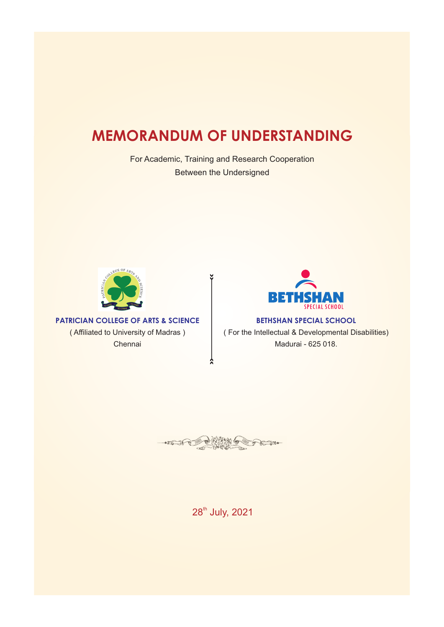## **MEMORANDUM OF UNDERSTANDING**

For Academic, Training and Research Cooperation Between the Undersigned



**PATRICIAN COLLEGE OF ARTS & SCIENCE** ( Affiliated to University of Madras ) Chennai



**BETHSHAN SPECIAL SCHOOL** ( For the Intellectual & Developmental Disabilities) Madurai - 625 018.

· ESCE  $\neg$ 

28<sup>th</sup> July, 2021